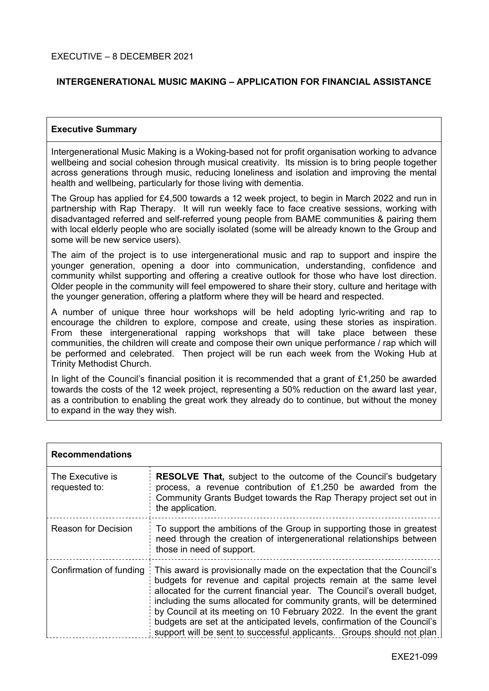# **INTERGENERATIONAL MUSIC MAKING – APPLICATION FOR FINANCIAL ASSISTANCE**

#### **Executive Summary**

Intergenerational Music Making is a Woking-based not for profit organisation working to advance wellbeing and social cohesion through musical creativity. Its mission is to bring people together across generations through music, reducing loneliness and isolation and improving the mental health and wellbeing, particularly for those living with dementia.

The Group has applied for £4,500 towards a 12 week project, to begin in March 2022 and run in partnership with Rap Therapy. It will run weekly face to face creative sessions, working with disadvantaged referred and self-referred young people from BAME communities & pairing them with local elderly people who are socially isolated (some will be already known to the Group and some will be new service users).

The aim of the project is to use intergenerational music and rap to support and inspire the younger generation, opening a door into communication, understanding, confidence and community whilst supporting and offering a creative outlook for those who have lost direction. Older people in the community will feel empowered to share their story, culture and heritage with the younger generation, offering a platform where they will be heard and respected.

A number of unique three hour workshops will be held adopting lyric-writing and rap to encourage the children to explore, compose and create, using these stories as inspiration. From these intergenerational rapping workshops that will take place between these communities, the children will create and compose their own unique performance / rap which will be performed and celebrated. Then project will be run each week from the Woking Hub at Trinity Methodist Church.

In light of the Council's financial position it is recommended that a grant of £1,250 be awarded towards the costs of the 12 week project, representing a 50% reduction on the award last year, as a contribution to enabling the great work they already do to continue, but without the money to expand in the way they wish.

| <b>Recommendations</b>            |                                                                                                                                                                                                                                                                                                                                                                                                                                                                                                                               |  |
|-----------------------------------|-------------------------------------------------------------------------------------------------------------------------------------------------------------------------------------------------------------------------------------------------------------------------------------------------------------------------------------------------------------------------------------------------------------------------------------------------------------------------------------------------------------------------------|--|
| The Executive is<br>requested to: | <b>RESOLVE That, subject to the outcome of the Council's budgetary</b><br>process, a revenue contribution of £1,250 be awarded from the<br>Community Grants Budget towards the Rap Therapy project set out in<br>the application.                                                                                                                                                                                                                                                                                             |  |
| Reason for Decision               | To support the ambitions of the Group in supporting those in greatest<br>need through the creation of intergenerational relationships between<br>those in need of support.                                                                                                                                                                                                                                                                                                                                                    |  |
| Confirmation of funding           | This award is provisionally made on the expectation that the Council's<br>budgets for revenue and capital projects remain at the same level<br>allocated for the current financial year. The Council's overall budget,<br>including the sums allocated for community grants, will be determined<br>by Council at its meeting on 10 February 2022. In the event the grant<br>budgets are set at the anticipated levels, confirmation of the Council's<br>support will be sent to successful applicants. Groups should not plan |  |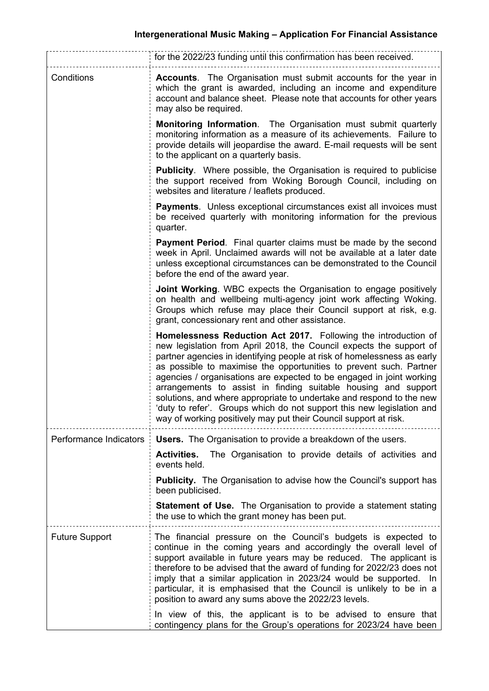|                        | for the 2022/23 funding until this confirmation has been received.                                                                                                                                                                                                                                                                                                                                                                                                                                                                                                                                                                                    |  |
|------------------------|-------------------------------------------------------------------------------------------------------------------------------------------------------------------------------------------------------------------------------------------------------------------------------------------------------------------------------------------------------------------------------------------------------------------------------------------------------------------------------------------------------------------------------------------------------------------------------------------------------------------------------------------------------|--|
| Conditions             | <b>Accounts.</b> The Organisation must submit accounts for the year in<br>which the grant is awarded, including an income and expenditure<br>account and balance sheet. Please note that accounts for other years<br>may also be required.                                                                                                                                                                                                                                                                                                                                                                                                            |  |
|                        | <b>Monitoring Information.</b> The Organisation must submit quarterly<br>monitoring information as a measure of its achievements. Failure to<br>provide details will jeopardise the award. E-mail requests will be sent<br>to the applicant on a quarterly basis.                                                                                                                                                                                                                                                                                                                                                                                     |  |
|                        | <b>Publicity.</b> Where possible, the Organisation is required to publicise<br>the support received from Woking Borough Council, including on<br>websites and literature / leaflets produced.                                                                                                                                                                                                                                                                                                                                                                                                                                                         |  |
|                        | <b>Payments.</b> Unless exceptional circumstances exist all invoices must<br>be received quarterly with monitoring information for the previous<br>quarter.                                                                                                                                                                                                                                                                                                                                                                                                                                                                                           |  |
|                        | <b>Payment Period.</b> Final quarter claims must be made by the second<br>week in April. Unclaimed awards will not be available at a later date<br>unless exceptional circumstances can be demonstrated to the Council<br>before the end of the award year.                                                                                                                                                                                                                                                                                                                                                                                           |  |
|                        | <b>Joint Working.</b> WBC expects the Organisation to engage positively<br>on health and wellbeing multi-agency joint work affecting Woking.<br>Groups which refuse may place their Council support at risk, e.g.<br>grant, concessionary rent and other assistance.                                                                                                                                                                                                                                                                                                                                                                                  |  |
|                        | Homelessness Reduction Act 2017. Following the introduction of<br>new legislation from April 2018, the Council expects the support of<br>partner agencies in identifying people at risk of homelessness as early<br>as possible to maximise the opportunities to prevent such. Partner<br>agencies / organisations are expected to be engaged in joint working<br>arrangements to assist in finding suitable housing and support<br>solutions, and where appropriate to undertake and respond to the new<br>'duty to refer'. Groups which do not support this new legislation and<br>way of working positively may put their Council support at risk. |  |
| Performance Indicators | <b>Users.</b> The Organisation to provide a breakdown of the users.                                                                                                                                                                                                                                                                                                                                                                                                                                                                                                                                                                                   |  |
|                        | The Organisation to provide details of activities and<br><b>Activities.</b><br>events held.                                                                                                                                                                                                                                                                                                                                                                                                                                                                                                                                                           |  |
|                        | <b>Publicity.</b> The Organisation to advise how the Council's support has<br>been publicised.                                                                                                                                                                                                                                                                                                                                                                                                                                                                                                                                                        |  |
|                        | <b>Statement of Use.</b> The Organisation to provide a statement stating<br>the use to which the grant money has been put.                                                                                                                                                                                                                                                                                                                                                                                                                                                                                                                            |  |
| <b>Future Support</b>  | The financial pressure on the Council's budgets is expected to<br>continue in the coming years and accordingly the overall level of<br>support available in future years may be reduced. The applicant is<br>therefore to be advised that the award of funding for 2022/23 does not<br>imply that a similar application in 2023/24 would be supported. In<br>particular, it is emphasised that the Council is unlikely to be in a<br>position to award any sums above the 2022/23 levels.                                                                                                                                                             |  |
|                        | In view of this, the applicant is to be advised to ensure that<br>contingency plans for the Group's operations for 2023/24 have been                                                                                                                                                                                                                                                                                                                                                                                                                                                                                                                  |  |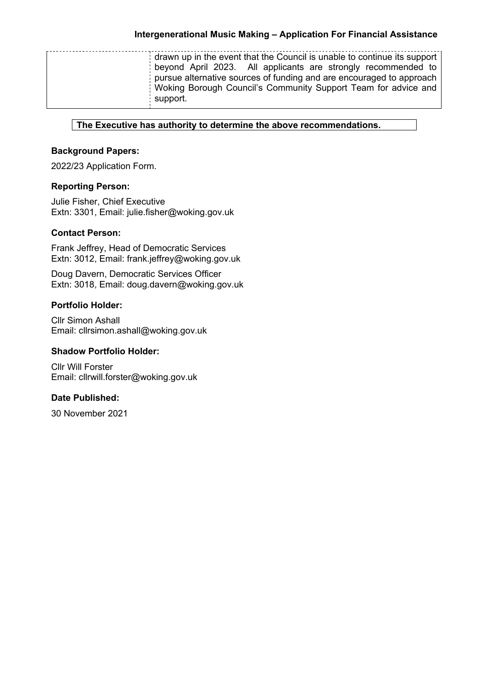| drawn up in the event that the Council is unable to continue its support<br>beyond April 2023. All applicants are strongly recommended to<br>pursue alternative sources of funding and are encouraged to approach<br>Woking Borough Council's Community Support Team for advice and<br>support. |
|-------------------------------------------------------------------------------------------------------------------------------------------------------------------------------------------------------------------------------------------------------------------------------------------------|
|-------------------------------------------------------------------------------------------------------------------------------------------------------------------------------------------------------------------------------------------------------------------------------------------------|

**The Executive has authority to determine the above recommendations.**

# **Background Papers:**

2022/23 Application Form.

# **Reporting Person:**

Julie Fisher, Chief Executive Extn: 3301, Email: julie.fisher@woking.gov.uk

# **Contact Person:**

Frank Jeffrey, Head of Democratic Services Extn: 3012, Email: frank.jeffrey@woking.gov.uk

Doug Davern, Democratic Services Officer Extn: 3018, Email: doug.davern@woking.gov.uk

## **Portfolio Holder:**

Cllr Simon Ashall Email: cllrsimon.ashall@woking.gov.uk

# **Shadow Portfolio Holder:**

Cllr Will Forster Email: cllrwill.forster@woking.gov.uk

## **Date Published:**

30 November 2021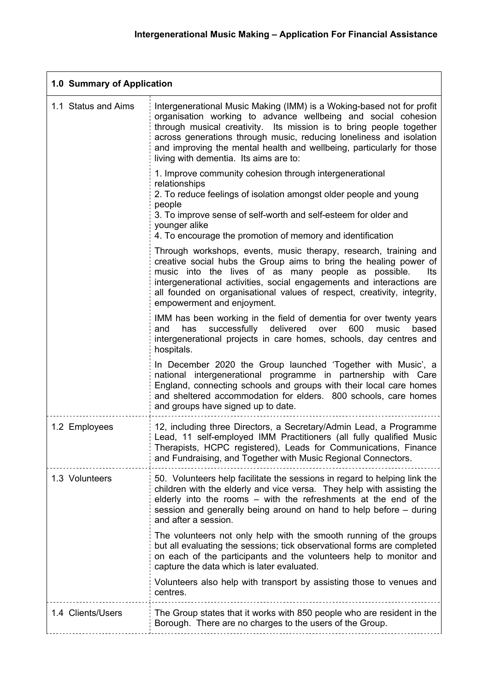**r** 

 $\overline{\phantom{0}}$ 

| Intergenerational Music Making (IMM) is a Woking-based not for profit<br>1.1 Status and Aims<br>organisation working to advance wellbeing and social cohesion<br>through musical creativity. Its mission is to bring people together<br>across generations through music, reducing loneliness and isolation<br>and improving the mental health and wellbeing, particularly for those<br>living with dementia. Its aims are to:<br>1. Improve community cohesion through intergenerational<br>relationships<br>2. To reduce feelings of isolation amongst older people and young<br>people<br>3. To improve sense of self-worth and self-esteem for older and<br>younger alike<br>4. To encourage the promotion of memory and identification<br>Through workshops, events, music therapy, research, training and<br>creative social hubs the Group aims to bring the healing power of<br>music into the lives of as many people as possible.<br>lts<br>intergenerational activities, social engagements and interactions are<br>all founded on organisational values of respect, creativity, integrity,<br>empowerment and enjoyment.<br>IMM has been working in the field of dementia for over twenty years<br>successfully delivered<br>has<br>over<br>600<br>music<br>based<br>and<br>intergenerational projects in care homes, schools, day centres and<br>hospitals.<br>In December 2020 the Group launched 'Together with Music', a<br>national intergenerational programme in partnership with Care<br>England, connecting schools and groups with their local care homes<br>and sheltered accommodation for elders. 800 schools, care homes<br>and groups have signed up to date.<br>12, including three Directors, a Secretary/Admin Lead, a Programme<br>1.2 Employees<br>Lead, 11 self-employed IMM Practitioners (all fully qualified Music<br>Therapists, HCPC registered), Leads for Communications, Finance<br>and Fundraising, and Together with Music Regional Connectors.<br>1.3 Volunteers<br>50. Volunteers help facilitate the sessions in regard to helping link the<br>children with the elderly and vice versa. They help with assisting the<br>elderly into the rooms – with the refreshments at the end of the<br>session and generally being around on hand to help before – during<br>and after a session.<br>The volunteers not only help with the smooth running of the groups<br>but all evaluating the sessions; tick observational forms are completed<br>on each of the participants and the volunteers help to monitor and<br>capture the data which is later evaluated.<br>Volunteers also help with transport by assisting those to venues and<br>centres.<br>1.4 Clients/Users<br>The Group states that it works with 850 people who are resident in the<br>Borough. There are no charges to the users of the Group. | 1.0 Summary of Application |  |  |
|-----------------------------------------------------------------------------------------------------------------------------------------------------------------------------------------------------------------------------------------------------------------------------------------------------------------------------------------------------------------------------------------------------------------------------------------------------------------------------------------------------------------------------------------------------------------------------------------------------------------------------------------------------------------------------------------------------------------------------------------------------------------------------------------------------------------------------------------------------------------------------------------------------------------------------------------------------------------------------------------------------------------------------------------------------------------------------------------------------------------------------------------------------------------------------------------------------------------------------------------------------------------------------------------------------------------------------------------------------------------------------------------------------------------------------------------------------------------------------------------------------------------------------------------------------------------------------------------------------------------------------------------------------------------------------------------------------------------------------------------------------------------------------------------------------------------------------------------------------------------------------------------------------------------------------------------------------------------------------------------------------------------------------------------------------------------------------------------------------------------------------------------------------------------------------------------------------------------------------------------------------------------------------------------------------------------------------------------------------------------------------------------------------------------------------------------------------------------------------------------------------------------------------------------------------------------------------------------------------------------------------------------------------------------------------------------------------------------------------------------------------------------------------------------------------------------------------------------------------------|----------------------------|--|--|
|                                                                                                                                                                                                                                                                                                                                                                                                                                                                                                                                                                                                                                                                                                                                                                                                                                                                                                                                                                                                                                                                                                                                                                                                                                                                                                                                                                                                                                                                                                                                                                                                                                                                                                                                                                                                                                                                                                                                                                                                                                                                                                                                                                                                                                                                                                                                                                                                                                                                                                                                                                                                                                                                                                                                                                                                                                                           |                            |  |  |
|                                                                                                                                                                                                                                                                                                                                                                                                                                                                                                                                                                                                                                                                                                                                                                                                                                                                                                                                                                                                                                                                                                                                                                                                                                                                                                                                                                                                                                                                                                                                                                                                                                                                                                                                                                                                                                                                                                                                                                                                                                                                                                                                                                                                                                                                                                                                                                                                                                                                                                                                                                                                                                                                                                                                                                                                                                                           |                            |  |  |
|                                                                                                                                                                                                                                                                                                                                                                                                                                                                                                                                                                                                                                                                                                                                                                                                                                                                                                                                                                                                                                                                                                                                                                                                                                                                                                                                                                                                                                                                                                                                                                                                                                                                                                                                                                                                                                                                                                                                                                                                                                                                                                                                                                                                                                                                                                                                                                                                                                                                                                                                                                                                                                                                                                                                                                                                                                                           |                            |  |  |
|                                                                                                                                                                                                                                                                                                                                                                                                                                                                                                                                                                                                                                                                                                                                                                                                                                                                                                                                                                                                                                                                                                                                                                                                                                                                                                                                                                                                                                                                                                                                                                                                                                                                                                                                                                                                                                                                                                                                                                                                                                                                                                                                                                                                                                                                                                                                                                                                                                                                                                                                                                                                                                                                                                                                                                                                                                                           |                            |  |  |
|                                                                                                                                                                                                                                                                                                                                                                                                                                                                                                                                                                                                                                                                                                                                                                                                                                                                                                                                                                                                                                                                                                                                                                                                                                                                                                                                                                                                                                                                                                                                                                                                                                                                                                                                                                                                                                                                                                                                                                                                                                                                                                                                                                                                                                                                                                                                                                                                                                                                                                                                                                                                                                                                                                                                                                                                                                                           |                            |  |  |
|                                                                                                                                                                                                                                                                                                                                                                                                                                                                                                                                                                                                                                                                                                                                                                                                                                                                                                                                                                                                                                                                                                                                                                                                                                                                                                                                                                                                                                                                                                                                                                                                                                                                                                                                                                                                                                                                                                                                                                                                                                                                                                                                                                                                                                                                                                                                                                                                                                                                                                                                                                                                                                                                                                                                                                                                                                                           |                            |  |  |
|                                                                                                                                                                                                                                                                                                                                                                                                                                                                                                                                                                                                                                                                                                                                                                                                                                                                                                                                                                                                                                                                                                                                                                                                                                                                                                                                                                                                                                                                                                                                                                                                                                                                                                                                                                                                                                                                                                                                                                                                                                                                                                                                                                                                                                                                                                                                                                                                                                                                                                                                                                                                                                                                                                                                                                                                                                                           |                            |  |  |
|                                                                                                                                                                                                                                                                                                                                                                                                                                                                                                                                                                                                                                                                                                                                                                                                                                                                                                                                                                                                                                                                                                                                                                                                                                                                                                                                                                                                                                                                                                                                                                                                                                                                                                                                                                                                                                                                                                                                                                                                                                                                                                                                                                                                                                                                                                                                                                                                                                                                                                                                                                                                                                                                                                                                                                                                                                                           |                            |  |  |
|                                                                                                                                                                                                                                                                                                                                                                                                                                                                                                                                                                                                                                                                                                                                                                                                                                                                                                                                                                                                                                                                                                                                                                                                                                                                                                                                                                                                                                                                                                                                                                                                                                                                                                                                                                                                                                                                                                                                                                                                                                                                                                                                                                                                                                                                                                                                                                                                                                                                                                                                                                                                                                                                                                                                                                                                                                                           |                            |  |  |
|                                                                                                                                                                                                                                                                                                                                                                                                                                                                                                                                                                                                                                                                                                                                                                                                                                                                                                                                                                                                                                                                                                                                                                                                                                                                                                                                                                                                                                                                                                                                                                                                                                                                                                                                                                                                                                                                                                                                                                                                                                                                                                                                                                                                                                                                                                                                                                                                                                                                                                                                                                                                                                                                                                                                                                                                                                                           |                            |  |  |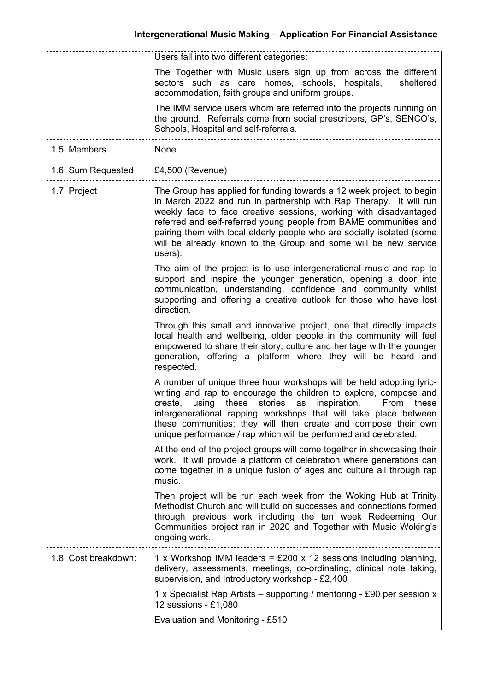|                     | Users fall into two different categories:                                                                                                                                                                                                                                                                                                                                                                                                     |  |
|---------------------|-----------------------------------------------------------------------------------------------------------------------------------------------------------------------------------------------------------------------------------------------------------------------------------------------------------------------------------------------------------------------------------------------------------------------------------------------|--|
|                     | The Together with Music users sign up from across the different<br>sectors such as care homes, schools, hospitals,<br>sheltered<br>accommodation, faith groups and uniform groups.                                                                                                                                                                                                                                                            |  |
|                     | The IMM service users whom are referred into the projects running on<br>the ground. Referrals come from social prescribers, GP's, SENCO's,<br>Schools, Hospital and self-referrals.                                                                                                                                                                                                                                                           |  |
| 1.5 Members         | None.                                                                                                                                                                                                                                                                                                                                                                                                                                         |  |
| 1.6 Sum Requested   | £4,500 (Revenue)                                                                                                                                                                                                                                                                                                                                                                                                                              |  |
| 1.7 Project         | The Group has applied for funding towards a 12 week project, to begin<br>in March 2022 and run in partnership with Rap Therapy. It will run<br>weekly face to face creative sessions, working with disadvantaged<br>referred and self-referred young people from BAME communities and<br>pairing them with local elderly people who are socially isolated (some<br>will be already known to the Group and some will be new service<br>users). |  |
|                     | The aim of the project is to use intergenerational music and rap to<br>support and inspire the younger generation, opening a door into<br>communication, understanding, confidence and community whilst<br>supporting and offering a creative outlook for those who have lost<br>direction.                                                                                                                                                   |  |
|                     | Through this small and innovative project, one that directly impacts<br>local health and wellbeing, older people in the community will feel<br>empowered to share their story, culture and heritage with the younger<br>generation, offering a platform where they will be heard and<br>respected.                                                                                                                                            |  |
|                     | A number of unique three hour workshops will be held adopting lyric-<br>writing and rap to encourage the children to explore, compose and<br>stories<br>create,<br>using<br>these<br>as<br>inspiration.<br>From<br>these<br>intergenerational rapping workshops that will take place between<br>these communities; they will then create and compose their own<br>unique performance / rap which will be performed and celebrated.            |  |
|                     | At the end of the project groups will come together in showcasing their<br>work. It will provide a platform of celebration where generations can<br>come together in a unique fusion of ages and culture all through rap<br>music.                                                                                                                                                                                                            |  |
|                     | Then project will be run each week from the Woking Hub at Trinity<br>Methodist Church and will build on successes and connections formed<br>through previous work including the ten week Redeeming Our<br>Communities project ran in 2020 and Together with Music Woking's<br>ongoing work.                                                                                                                                                   |  |
| 1.8 Cost breakdown: | 1 x Workshop IMM leaders = £200 x 12 sessions including planning,<br>delivery, assessments, meetings, co-ordinating, clinical note taking,<br>supervision, and Introductory workshop - £2,400                                                                                                                                                                                                                                                 |  |
|                     | 1 x Specialist Rap Artists – supporting / mentoring - £90 per session x<br>12 sessions - £1,080                                                                                                                                                                                                                                                                                                                                               |  |
|                     | Evaluation and Monitoring - £510                                                                                                                                                                                                                                                                                                                                                                                                              |  |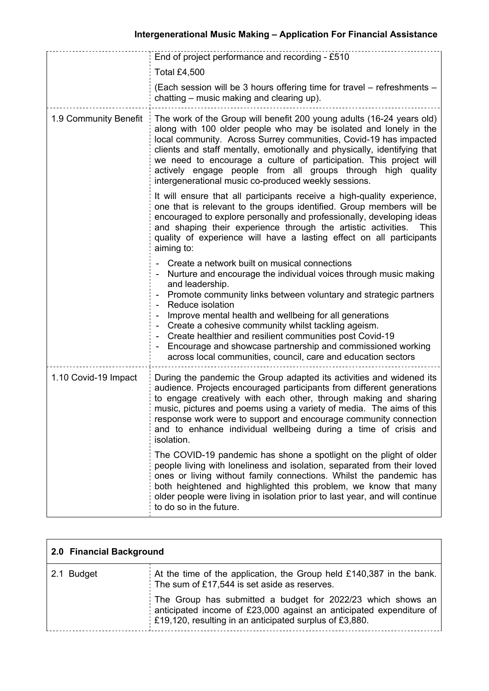|                       | End of project performance and recording - £510<br><b>Total £4,500</b><br>(Each session will be 3 hours offering time for travel - refreshments -<br>chatting – music making and clearing up).                                                                                                                                                                                                                                                                                                                                             |  |
|-----------------------|--------------------------------------------------------------------------------------------------------------------------------------------------------------------------------------------------------------------------------------------------------------------------------------------------------------------------------------------------------------------------------------------------------------------------------------------------------------------------------------------------------------------------------------------|--|
| 1.9 Community Benefit | The work of the Group will benefit 200 young adults (16-24 years old)<br>along with 100 older people who may be isolated and lonely in the<br>local community. Across Surrey communities, Covid-19 has impacted<br>clients and staff mentally, emotionally and physically, identifying that<br>we need to encourage a culture of participation. This project will<br>actively engage people from all groups through high quality<br>intergenerational music co-produced weekly sessions.                                                   |  |
|                       | It will ensure that all participants receive a high-quality experience,<br>one that is relevant to the groups identified. Group members will be<br>encouraged to explore personally and professionally, developing ideas<br>and shaping their experience through the artistic activities.<br><b>This</b><br>quality of experience will have a lasting effect on all participants<br>aiming to:                                                                                                                                             |  |
|                       | Create a network built on musical connections<br>Nurture and encourage the individual voices through music making<br>and leadership.<br>Promote community links between voluntary and strategic partners<br>Reduce isolation<br>Improve mental health and wellbeing for all generations<br>Create a cohesive community whilst tackling ageism.<br>Create healthier and resilient communities post Covid-19<br>Encourage and showcase partnership and commissioned working<br>across local communities, council, care and education sectors |  |
| 1.10 Covid-19 Impact  | During the pandemic the Group adapted its activities and widened its<br>audience. Projects encouraged participants from different generations<br>to engage creatively with each other, through making and sharing<br>music, pictures and poems using a variety of media. The aims of this<br>response work were to support and encourage community connection<br>and to enhance individual wellbeing during a time of crisis and<br>isolation.                                                                                             |  |
|                       | The COVID-19 pandemic has shone a spotlight on the plight of older<br>people living with loneliness and isolation, separated from their loved<br>ones or living without family connections. Whilst the pandemic has<br>both heightened and highlighted this problem, we know that many<br>older people were living in isolation prior to last year, and will continue<br>to do so in the future.                                                                                                                                           |  |

| 2.0 Financial Background |                                                                                                                                                                                               |
|--------------------------|-----------------------------------------------------------------------------------------------------------------------------------------------------------------------------------------------|
| 2.1 Budget               | At the time of the application, the Group held £140,387 in the bank.<br>The sum of £17,544 is set aside as reserves.                                                                          |
|                          | The Group has submitted a budget for 2022/23 which shows an<br>anticipated income of £23,000 against an anticipated expenditure of<br>£19,120, resulting in an anticipated surplus of £3,880. |